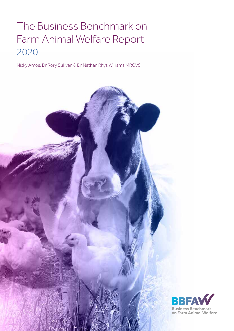## The Business Benchmark on Farm Animal Welfare Report 2020

Nicky Amos, Dr Rory Sullivan & Dr Nathan Rhys Williams MRCVS

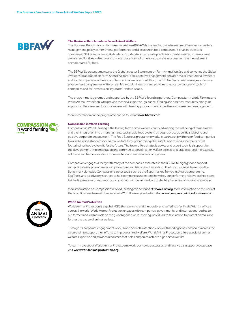

#### **The Business Benchmark on Farm Animal Welfare**

The Business Benchmark on Farm Animal Welfare (BBFAW) is the leading global measure of farm animal welfare management, policy commitment, performance and disclosure in food companies. It enables investors, companies, NGOs and other stakeholders to understand corporate practice and performance on farm animal welfare, and it drives – directly and through the efforts of others – corporate improvements in the welfare of animals reared for food.

The BBFAW Secretariat maintains the Global Investor Statement on Farm Animal Welfare and convenes the Global Investor Collaboration on Farm Animal Welfare, a collaborative engagement between major institutional investors and food companies on the issue of farm animal welfare. In addition, the BBFAW Secretariat manages extensive engagement programmes with companies and with investors and provides practical guidance and tools for companies and for investors on key animal welfare issues.

The programme is governed and supported by the BBFAW's founding partners, Compassion in World Farming and World Animal Protection, who provide technical expertise, guidance, funding and practical resources, alongside supporting the assessed food businesses with training, programmatic expertise and consultancy engagement.

More information on the programme can be found at www.bbfaw.com

#### **Compassion in World Farming**

Compassion in World Farming is the leading farm animal welfare charity advancing the wellbeing of farm animals and their integration into a more humane, sustainable food system, through advocacy, political lobbying and positive corporate engagement. The Food Business programme works in partnership with major food companies to raise baseline standards for animal welfare throughout their global supply, and to rebalance their animal footprint in a food system fit for the future. The team offers strategic advice and expert technical support for the development, implementation and communication of higher welfare policies and practices, and, increasingly, solutions and frameworks for a more resilient and sustainable food system.

Compassion engages directly with many of the companies evaluated in the BBFAW to highlight and support with policy development, welfare improvement and transparent reporting. The Food Business team uses the Benchmark alongside Compassion's other tools such as the Supermarket Survey, its Awards programme, EggTrack, and its advisory services to help companies understand how they are performing relative to their peers, to identify areas and mechanisms for continuous improvement, and to highlight sources of risk and advantage.

More information on Compassion in World Farming can be found at: www.ciwf.org. More information on the work of the Food Business team at Compassion in World Farming can be found at: www.compassioninfoodbusiness.com

#### **World Animal Protection**

World Animal Protection is a global NGO that works to end the cruelty and suffering of animals. With 14 offices across the world, World Animal Protection engages with companies, governments, and international bodies to put farmed and wild animals on the global agenda while inspiring individuals to take action to protect animals and further the cause of animal welfare.

Through its corporate engagement work, World Animal Protection works with leading food companies across the value chain to support their efforts to improve animal welfare. World Animal Protection offers specialist animal welfare expertise and provides resources that help companies achieve high animal welfare.

To learn more about World Animal Protection's work, our news, successes, and how we can support you, please visit www.worldanimalprotection.org



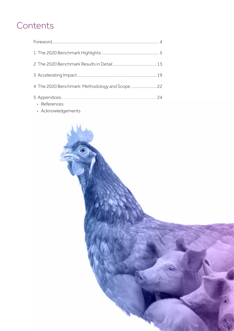## **Contents**

| • References | 24 |
|--------------|----|

• Acknowledgements

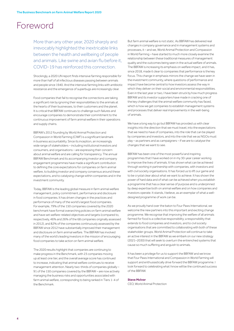## Foreword

More than any other year, 2020 sharply and irrevocably highlighted the inextricable links between the health and wellbeing of people and animals. Like swine and avian flu before it. COVID-19 has reinforced this connection.

Shockingly, a 2020 UN report finds intensive farming responsible for more than half of all infectious diseases passing between animals and people since 1940. And the intensive farming links with antibiotic resistance and the emergence of superbugs are increasingly clear.

Food companies that fail to recognise the connections are taking a significant risk by ignoring their responsibilities to the animals at the hearts of their businesses, to their customers and the planet. It is critical that BBFAW continues to challenge such failures and encourage companies to demonstrate their commitment to the continuous improvement of farm animal welfare in their operations and supply chains.

BBFAW's 2012 founding by World Animal Protection and Compassion in World Farming (CIWF) is a significant landmark in business accountability. Since its inception, an increasingly wide range of stakeholders – including institutional investors and consumers, and organisations – are expressing their concern about animal welfare and are calling for transparency. The annual BBFAW Benchmark and its accompanying investor and company engagement programmes have made a significant contribution to defining the core expectations for companies on farm animal welfare, to building investor and company consensus around these expectations, and to catalysing change within companies and in the investment community.

Today, BBFAW is the leading global measure in farm animal welfare management, policy commitment, performance and disclosure in food companies. It has driven changes in the practices and performance of many of the world's largest food companies. For example, 79% of the 150 companies covered by the 2020 benchmark have formal overarching policies on farm animal welfare and have set welfare-related objectives and targets (compared to, respectively, 46% and 26% of the 68 companies originally assessed in 2012), and 82% of the companies continuously assessed by the BBFAW since 2012 have substantially improved their management and disclosure on farm animal welfare. The BBFAW has involved many of the world's leading investors in the mission of encouraging food companies to take action on farm animal welfare.

The 2020 results highlight that companies are continuing to make progress in the Benchmark, with 23 companies moving up at least one tier, and the overall average score has continued to increase, indicating that animal welfare continues to receive management attention. Nearly two-thirds of companies globally – 91 of the 150 companies covered by the BBFAW – are now actively managing the business risks and opportunities associated with farm animal welfare, corresponding to being ranked in Tiers 1-4 of the Benchmark.

But farm animal welfare is not static. As BBFAW has delivered real changes in company governance and in management systems and processes, it – and we, World Animal Protection and Compassion in World Farming – have started to much more closely examine the relationship between these traditional measures of management quality and the outcomes being seen in the actual welfare of animals. The BBFAW is increasing its emphasis on welfare impact, and it has, since 2018, made it clear to companies that performance is the key focus. This change in emphasis mirrors the change we have seen in the investment community, where questions of performance and impact have become central to how investors assess the way in which they deliver on their social and environmental responsibilities. Even in the last year or two, I have been struck by how much progress BBFAW and its investor supporters have made in cracking one of the key challenges that the animal welfare community has faced, which is how we get companies to establish management systems and processes that deliver real improvements in the well-being of animals.

We have a long way to go but BBFAW has provided us with clear insights into the direction that we must travel, into the expectations that we need to have of companies, into the role that can be played by companies and investors, and into the role that we as NGOs must play – as partners and as campaigners – if we are to catalyse the changes that we want to see.

BBFAW has been one of the most powerful and inspiring programmes that I have worked on in my 30-year career working to improve the lives of animals. It has shown what can be achieved through working in partnership with companies, with investors and with civil society organisations. It has forced us to lift our game and to be crystal clear about what we want to achieve. It has shown the power of hard data and of what can be achieved when you establish a programme that has a clear sense of purpose and is underpinned by deep expertise both on animal welfare and on how companies and investors operate. It stands, I believe, as an exemplar of what a welldesigned programme of work can be.

As we proudly hand over the baton to Four Paws International, we welcome the new partners into this important and exciting change programme. We recognise that improving the welfare of all animals farmed for food is a collective responsibility; a responsibility that extends to food companies and investors, and to civil society organisations that are committed to collaborating with both of these stakeholder groups. World Animal Protection will continue to take an active interest in the BBFAW as we embark on our new strategy (2021–2030) that will seek to overturn the entrenched systems that cause so much suffering and anguish to animals.

It has been a privilege for us to support the BBFAW and we know that Four Paws International and Compassion in World Farming will support and enthusiastically drive forward the BBFAW programme. I look forward to celebrating what I know will be the continued success of the BBFAW.

#### **Steve McIvor**

CEO, World Animal Protection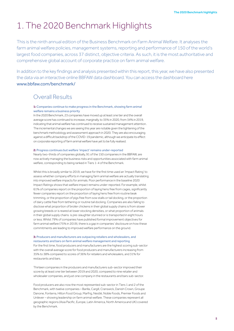## 1. The 2020 Benchmark Highlights

This is the ninth annual edition of the Business Benchmark on Farm Animal Welfare. It analyses the farm animal welfare policies, management systems, reporting and performance of 150 of the world's largest food companies, across 37 distinct, objective criteria. As such, it is the most authoritative and comprehensive global account of corporate practice on farm animal welfare.

In addition to the key findings and analysis presented within this report, this year, we have also presented the data via an interactive online BBFAW data dashboard. You can access the dashboard here www.bbfaw.com/benchmark/

## Overall Results

#### **1:** Companies continue to make progress in the Benchmark, showing farm animal welfare remains a business priority

In the 2020 Benchmark, 23 companies have moved up at least one tier and the overall average score has continued to increase, marginally, to 35% in 2020, from 34% in 2019, indicating that animal welfare has continued to receive sustained management attention. The incremental changes we are seeing this year are notable given the tightening of the benchmark methodology and assessment approach in 2020. They are also encouraging against a difficult backdrop of the COVID-19 pandemic, although we anticipate its effect on corporate reporting of farm animal welfare have yet to be fully realised.

#### **2:** Progress continues but welfare 'impact' remains under-reported

Nearly two-thirds of companies globally, 91 of the 150 companies in the BBFAW, are now actively managing the business risks and opportunities associated with farm animal welfare, corresponding to being ranked in Tiers 1-4 of the Benchmark.

Whilst this is broadly similar to 2019, we have for the first time used an 'Impact Rating' to assess whether company efforts in managing farm animal welfare are actually translating into improved welfare impacts for animals. Poor performance in the baseline 2020 Impact Ratings shows that welfare impact remains under-reported. For example, whilst 61% of companies report on the proportion of laying hens free from cages, significantly fewer companies report on the proportion of laying hens free from routine beak trimming, or the proportion of pigs free from sow stalls or tail docking, or the proportion of dairy cattle free from tethering or routine tail docking. Companies are also failing to disclose what proportion of broiler chickens in their global supply chains is from slower growing breeds or is reared at lower stocking densities, or what proportion of animals in their global supply chains is pre-slaughter stunned or is transported in eight hours or less. Whilst 79% of companies have published formal improvement objectives for farm animal welfare (75% in 2019), there is a gap in companies' disclosure on how these commitments are leading to improved welfare performance on the ground.

#### **3:** Producers and manufacturers are outpacing retailers and wholesalers, and restaurants and bars on farm animal welfare management and reporting

For the first time, food producers and manufacturers are the highest scoring sub-sector with the overall average score for food producers and manufacturers increasing from 35% to 38% compared to scores of 36% for retailers and wholesalers, and 31% for restaurants and bars.

Thirteen companies in the producers and manufacturers sub-sector improved their score by at least one tier between 2019 and 2020, compared to nine retailer and wholesaler companies, and just one company in the restaurants and bars sub-sector.

Food producers are also now the most represented sub-sector in Tiers 1 and 2 of the Benchmark, with twelve companies – Barilla, Cargill, Cranswick, Danish Crown, Groupe Danone, Fonterra, Hilton Food Group, Marfrig, Nestlé, Noble Foods, Premier Foods and Unilever – showing leadership on farm animal welfare. These companies represent all geographic regions (Asia Pacific, Europe, Latin America, North America and UK) covered by the Benchmark.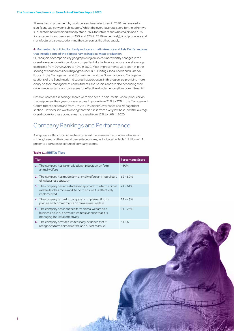The marked improvement by producers and manufacturers in 2020 has revealed a significant gap between sub-sectors. Whilst the overall average score for the other two sub-sectors has remained broadly static (36% for retailers and wholesalers and 31% for restaurants and bars versus 35% and 32% in 2019 respectively), food producers and manufacturers are outperforming the companies that they supply.

#### **4:** Momentum is building for food producers in Latin America and Asia Pacific: regions that include some of the biggest names in global meat production

Our analysis of companies by geographic region reveals noteworthy changes in the overall average score for producer companies in Latin America, whose overall average score rose from 29% in 2019 to 40% in 2020. Most improvements were seen in in the scoring of companies (including Agro Super, BRF, Marfrig Global Foods and Minerva Foods) in the Management and Commitment and the Governance and Management sections of the Benchmark, indicating that producers in this region are providing more clarity on their management commitments and policies and are also describing their governance systems and processes for effectively implementing their commitments.

Notable increases in average scores were also seen in Asia Pacific, where producers in that region saw their year-on-year scores improve from 21% to 27% in the Management Commitment section and from 14% to 18% in the Governance and Management section. However, it is worth noting that this rise is from a very low base, and the average overall score for these companies increased from 12% to 16% in 2020.

## Company Rankings and Performance

As in previous Benchmarks, we have grouped the assessed companies into one of six tiers, based on their overall percentage scores, as indicated in Table 1.1. Figure 1.1 presents a composite picture of company scores.

#### **Table 1.1: BBFAW Tiers**

| Tier |                                                                                                                                                     | <b>Percentage Score</b> |
|------|-----------------------------------------------------------------------------------------------------------------------------------------------------|-------------------------|
|      | 1. The company has taken a leadership position on farm<br>animal welfare                                                                            | $>80\%$                 |
|      | 2. The company has made farm animal welfare an integral part<br>of its business strategy                                                            | $62 - 80%$              |
|      | 3. The company has an established approach to a farm animal<br>welfare but has more work to do to ensure it is effectively<br>implemented           | $44 - 61%$              |
|      | 4. The company is making progress on implementing its<br>policies and commitments on farm animal welfare                                            | $27 - 43%$              |
|      | 5. The company has identified farm animal welfare as a<br>business issue but provides limited evidence that it is<br>managing the issue effectively | $11 - 26%$              |
|      | 6. The company provides limited if any evidence that it<br>recognises farm animal welfare as a business issue                                       | < 11%                   |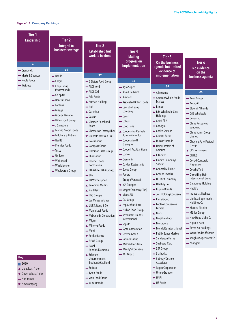#### **Figure 1.1: Company Rankings**

| Tier <sub>1</sub>             |                                                              |                                                            |                                                          |                                                        |                                                       |
|-------------------------------|--------------------------------------------------------------|------------------------------------------------------------|----------------------------------------------------------|--------------------------------------------------------|-------------------------------------------------------|
| Leadership                    | Tier <sub>2</sub><br><b>Integral to</b><br>business strategy | Tier 3<br><b>Established but</b><br>work to be done        | Tier <sub>4</sub><br><b>Making</b><br>progress on        | Tier <sub>5</sub>                                      |                                                       |
| $\overline{4}$<br>- Cranswick | 19                                                           |                                                            | implementation                                           | On the business<br>agenda but limited<br>evidence of   | Tier 6<br>No evidence<br>on the                       |
| - Marks & Spencer             | ▲ Barilla                                                    | 37                                                         |                                                          | implementation                                         | business agenda                                       |
| Noble Foods                   | - Cargill                                                    | - 2 Sisters Food Group                                     | 31                                                       |                                                        |                                                       |
| - Waitrose                    | ▼ Coop Group                                                 | - ALDI Nord                                                | - Agro Super                                             | 34                                                     |                                                       |
|                               | (Switzerland)                                                | ▼ ALDI Süd                                                 | Ahold Delhaize                                           | Albertsons                                             | 25                                                    |
|                               | - Co-op UK<br>- Danish Crown<br>$\triangle$ Fonterra         | Arla Foods<br>▲ Auchan Holding<br>$-$ BRF                  | $\blacktriangledown$ Aramark<br>Associated British Foods | Amazon/Whole Foods<br>Market                           | - Aeon Group<br>- Autogrill                           |
|                               | - Greggs<br>Groupe Danone                                    | ▲ Carrefour<br>$\equiv$ Casino                             | - Campbell Soup<br>Company<br>- Camst                    | $\triangle$ Bimbo<br>▲ BJ's Wholesale Club<br>Holdings | - Bloomin' Brands<br>- C&S Wholesale                  |
|                               | - Hilton Food Group<br>- J Sainsbury                         | ▲ Charoen Pokphand<br>Foods                                | - Colruyt<br>- Coop Italia                               | - Chick-fil-A<br><b>—</b> ConAgra                      | - Cencosud<br>- China Resources<br>Vanguard           |
|                               | ▲ Marfrig Global Foods<br>- Mitchells & Butlers              | - Cheesecake Factory (The)<br>▼ Chipotle Mexican Grill     | ▲ Cooperativa Centrale<br>Aurora Alimentos               | ▲ Cooke Seafood<br>- Cracker Barrel                    | - China Yurun Group<br>Limited                        |
|                               | • Nestlé<br>- Premier Foods<br>- Tesco                       | - Coles Group<br>- Compass Group<br>- Domino's Pizza Group | - Coopérative U<br>Enseigne<br>- Cooperl Arc Atlantique  | - Dunkin' Brands<br>• Dairy Farmers of<br>America      | - Chuying Agro-Pastoral<br>Group<br>▼ CKE Restaurants |
|                               | ▲ Unilever                                                   | - Elior Group                                              | $\equiv$ Costco                                          | E.Leclerc                                              | $\equiv$ CNHLS                                        |
|                               | - Whitbread<br>- Wm Morrison                                 | Hormel Foods<br>Corporation                                | $=$ Cremonini<br>- Darden Restaurants                    | - Empire Company/<br>Sobey's                           | Conad Consorzio<br>Nazionale                          |
|                               | Moolworths Group                                             | KEA (Inter IKEA Group)                                     | - Edeka Group                                            | $\blacktriangledown$ General Mills Inc                 | Couche-Tard                                           |
|                               |                                                              | $\equiv$ JBS                                               | - Ferrero                                                | - Groupe Lactalis                                      | - Dico's/Ting Hsin<br><b>International Group</b>      |
|                               |                                                              | - JD Wetherspoon                                           | - Gruppo Veronesi                                        | - H E Butt Company<br>- Hershey Co                     | - Gategroup Holding                                   |
|                               |                                                              | ▲ Jeronimo Martins<br>$\triangle$ KraftHeinz               | ▼ ICA Gruppen<br>- Kroger Company (The)                  | - Inspire Brands                                       | -Habib's                                              |
|                               |                                                              | - LDC Groupe                                               | ▼ Metro AG                                               | - JAB Holding Company                                  | - Industrias Bachoco                                  |
|                               |                                                              | - Les Mousquetaires                                        | • OSI Group                                              | - Kerry Group                                          | - Lianhua Supermarket                                 |
|                               |                                                              | Lidl Stiftung & Co                                         | ▲ Papa John's Pizza                                      | - Loblaw Companies                                     | Holdings Co                                           |
|                               |                                                              | - Maple Leaf Foods                                         | - Plukon Food Group                                      | Limited                                                | • Maruha Nichiro<br>- Müller Group                    |
|                               |                                                              | - McDonald's Corporation                                   | Restaurant Brands                                        | $\triangle$ Mars<br>▲ Meiji Holdings                   | - New Hope Liuhe Co                                   |
|                               |                                                              | ▼ Migros                                                   | International<br>$=$ Saputo                              | - Mercadona                                            | - Nippon Ham                                          |
|                               |                                                              | Minerva Foods                                              | Sysco Corporation                                        | - Mondelez International                               | Seven & i Holdings                                    |
|                               |                                                              | - Mowi                                                     | ▼ Terrena Group                                          | ▼ Publix Super Markets                                 | - Wens Foodstuff Group                                |
|                               |                                                              | ▼ Perdue Farms<br>REWE Group                               | - Tönnies Group                                          | Sanderson Farms                                        | - Yonghui Superstores Co                              |
|                               |                                                              | $=$ Royal                                                  | - Walmart Inc/Asda                                       | - Seaboard Corp                                        | - Zhongpin                                            |
|                               |                                                              | FrieslandCampina                                           | - Wendy's Company                                        | ▼ SSP Group                                            |                                                       |
| <b>Key</b>                    |                                                              | ▲ Schwarz<br>Unternehmens                                  | - WH Group                                               | Starbucks<br>▼ Subway/Doctor's                         |                                                       |

- 2020
- ▲ Up at least 1 tier
- ▼ Down at least 1 tier
- $\blacksquare$  Non-mover
- New company

Tyson Foods

Vion Food Group

Treuhand/Kaufland

Yum! Brands

Sodexo

- Subway/Doctor's Associates
- Target Corporation
- Umoe Gruppen
- **v** UNFI
- ▲ US Foods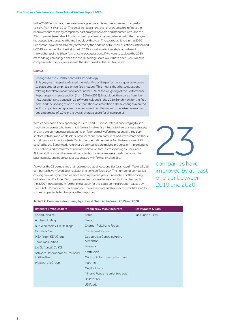In the 2020 Benchmark, the overall average score achieved has increased marginally to 35%, from 34% in 2019. The small increase in the overall average score reflects the improvements made by companies, particularly producers and manufacturers, and the 23 companies (see Table 1.2) who moved up at least one tier, balanced with the changes introduced to strengthen the methodology this year. The scores achieved in the 2020 Benchmark have been adversely affected by the addition of four new questions, introduced in 2019 and scored for the first time in 2020, as well as a further slight adjustment to the weighting of the 10 performance impact questions. If we were to exclude the 2020 methodological changes, then the overall average score would have been 37%, which is comparable to the progress seen in the Benchmark in the last two years.

#### **Box 1.1**

#### Changes to the 2020 Benchmark Methodology

This year, we marginally adjusted the weighting of the performance question scores to place greater emphasis on welfare impacts.<sup>1</sup> This means that the 10 questions relating to welfare impact now account for 60% of the weighting of the Performance Reporting and Impact section (from 56% in 2019). In addition, the scores from four new questions introduced in 2019<sup>2</sup> were included in the 2020 Benchmark for the first time, and the scoring of one further question was modified.3 These changes resulted in 11 companies being ranked one tier lower than they would otherwise have ranked and a decrease of 1.2% in the overall average score for all companies.

With 23 companies now appearing in Tiers 1 and 2 (22 in 2019), it is encouraging to see that the companies who have made farm animal welfare integral to their business strategy and who are demonstrating leadership on farm animal welfare represent all three subsectors (retailers and wholesalers, producers and manufacturers, and restaurants and bars) and all geographic regions (Asia Pacific, Europe, Latin America, North America and UK) covered by the Benchmark. A further 70 companies are making progress on implementing their policies and commitments on farm animal welfare (corresponding to Tiers 3 and 4). Overall, this shows that almost two-thirds of companies are actively managing the business risks and opportunities associated with farm animal welfare.

As well as the 23 companies that have moved up at least one tier (as shown in Table 1.2), 15 companies have moved down at least one tier (see Table 1.3). The number of companies moving down is higher than we have seen in previous years. Our analysis of the scoring indicates that 11 of the 15 companies moved down a tier as a result of the changes to the 2020 methodology. A further explanation for this could be the disruption caused by the COVID-19 pandemic, particularly for the restaurants and bars sector, which has led to some companies failing to update their reporting.

empanies have

companies have improved by at least one tier between 2019 and 2020

| <b>Retailers &amp; Wholesalers</b> | <b>Producers &amp; Manufacturers</b> | <b>Restaurants &amp; Bars</b> |
|------------------------------------|--------------------------------------|-------------------------------|
| Ahold Delhaize                     | Barilla                              | Papa John's Pizza             |
| Auchan Holding                     | <b>Bimbo</b>                         |                               |
| BJ's Wholesale Club Holdings       | Charoen Pokphand Foods               |                               |
| Carrefour SA                       | Cooke Seafood Inc                    |                               |
| IKEA (Inter IKEA Group)            | Cooperativa Centrale Aurora          |                               |
| Jeronimo Martins                   | Alimentos                            |                               |
| Lidl Stiftung & Co KG              | Fonterra                             |                               |
| Schwarz Unternehmens Treuhand      | KraftHeinz                           |                               |
| KG/Kaufland                        | Marfrig Global (risen by two tiers)  |                               |
| <b>Woolworths Group</b>            | Mars Inc                             |                               |
|                                    | Meiji Holdings                       |                               |
|                                    | Minerva Foods (risen by two tiers)   |                               |
|                                    | Unilever NV                          |                               |
|                                    | US Foods                             |                               |

#### Table 1.2: Companies Improving by at Least One Tier between 2019 and 2020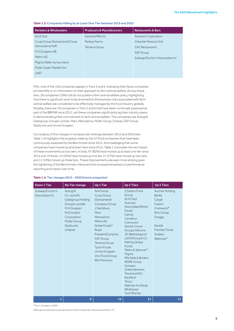#### Table 1.3: Companies Falling by at Least One Tier between 2019 and 2020

| <b>Retailers &amp; Wholesalers</b> | <b>Producers &amp; Manufacturers</b> | <b>Restaurants &amp; Bars</b>  |
|------------------------------------|--------------------------------------|--------------------------------|
| ALDI Süd                           | General Mills Inc.                   | Aramark Corporation            |
| Coop Group (Switzerland)/Coop      | Perdue Farms                         | Chipotle Mexican Grill         |
| Genossenschaft                     | Terrena Group                        | <b>CKF Restaurants</b>         |
| ICA Gruppen AB                     |                                      | <b>SSP</b> Group               |
| Metro AG                           |                                      | Subway/Doctor's Associates Inc |
| Migros (fallen by two tiers)       |                                      |                                |
| Publix Super Markets Inc           |                                      |                                |
| UNFI                               |                                      |                                |

Fifty-nine of the 150 companies appear in Tiers 5 and 6, indicating that these companies provide little or no information on their approach to farm animal welfare. Across these tiers, 28 companies (19%) still do not publish a farm animal welfare policy, highlighting that there is significant work to be done before the business risks associated with farm animal welfare are considered to be effectively managed by the food industry globally. Notably, there are 10 companies in Tiers 5 and 6 that have been continually assessed as part of the BBFAW since 2012, yet these companies significantly lag their industry peers in demonstrating their commitment to farm animal welfare. The companies are Autogrill, Gategroup, Groupe Lactalis, Mars, Mercadona, Müller Group, Subway, SSP Group, Starbucks and Umoe Gruppen.

Our analysis of the changes in company tier rankings between 2012 and 2020 (see Table 1.4) highlights the progress made by the 57 food companies that have been continuously assessed by the Benchmark since 2012. Acknowledging that some companies have moved up and down tiers since 2012, Table 1.4 provides the net impact of these movements across tiers. In total, 47 (82%) have moved up at least one tier since 2012 and, of these, 15 (26%) have moved up one tier, 21 (37%) have moved up two tiers and 11 (19%) moved up three tiers. These improvements are even more striking given the tightening of the Benchmark criteria and the increased emphasis on performance reporting and impact over time.

#### Down 1 Tier  $\vert$  No Tier change  $\vert$  Up 1 Tier  $\vert$  Up 2 Tiers  $\vert$  Up 3 Tiers Subway/Doctor's Associates Inc Autogrill Co-op (UK) Gategroup Holding Groupe Lactalis ICA Gruppen McDonald's Corporation Müller Group **Starbucks** Unilever Arla Foods Coop Group (Switzerland) Compass Group J Sainsbury Mars Mercadona Metro AG Noble Foods\* Royal FrieslandCampina SSP Group Terrena Group Tyson Foods Umoe Gruppen Vion Food Group Wm Morrison 2 Sisters Food Group ALDI Süd Aramark Associated British Foods Camst Carrefour Cremonini Danish Crown Groupe Danone JD Wetherspoon Lidl Stiftung & Co Marfrig Global Foods Marks & Spencer\* Migros Mitchells & Butlers REWE Group Schwarz Unternehmens Treuhand KG/ Kaufland Tesco Walmart Inc/Asda Whitbread Yum! Brands Auchan Holding Barilla Cargill Casino Cranswick\* Elior Group Greggs Nestlé Premier Foods Sodexo Waitrose\* 1 9 15 21 11

#### Table 1.4: Tier changes 2012 – 2020 (trend companies)

\*Tier 1 company in 2020

Although we have previously reported 55 trend companies, the actual number is 57.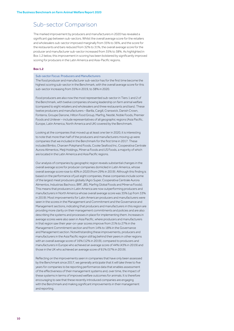## Sub-sector Comparison

The marked improvement by producers and manufacturers in 2020 has revealed a significant gap between sub-sectors. Whilst the overall average score for the retailers and wholesalers sub-sector improved marginally from 35% to 36%, and the score for the restaurants and bars reduced from 32% to 31%, the overall average score for the producer and manufacturer sub-sector increased from 35% to 38%. As highlighted in Box 1.2 below, this improvement in scoring has been bolstered by significantly improved scoring for producers in the Latin America and Asia-Pacific regions.

#### **Box 1.2**

#### Sub-sector Focus: Producers and Manufacturers

The food producer and manufacturer sub-sector has for the first time become the highest scoring sub-sector in the Benchmark, with the overall average score for this sub-sector increasing from 35% in 2019, to 38% in 2020.

Food producers are also now the most represented sub-sector in Tiers 1 and 2 of the Benchmark, with twelve companies showing leadership on farm animal welfare (compared to eight retailers and wholesalers and three restaurants and bars). These twelve producers and manufacturers - Barilla, Cargill, Cranswick, Danish Crown, Fonterra, Groupe Danone, Hilton Food Group, Marfrig, Nestlé, Noble Foods, Premier Foods and Unilever – include representatives of all geographic regions (Asia Pacific, Europe, Latin America, North America and UK) covered by the Benchmark.

Looking at the companies that moved up at least one tier in 2020, it is interesting to note that more than half of the producers and manufacturers moving up were companies that we included in the Benchmark for the first time in 2017. These included Bimbo, Charoen Pokphand Foods, Cooke Seafood Inc, Cooperativa Centrale Aurora Alimentos, Meiji Holdings, Minerva Foods and US Foods, a majority of which are located in the Latin America and Asia Pacific regions.

Our analysis of companies by geographic region reveals substantial changes in the overall average score for producer companies domiciled in Latin America, whose overall average score rose to 40% in 2020 (from 29% in 2019). Although this finding is based on the performance of just eight companies, these companies include some of the largest meat producers globally (Agro Super, Cooperativa Centrale Aurora Alimentos, Industrias Bachoco, BRF, JBS, Marfrig Global Foods and Minerva Foods). This means that producers in Latin America are now outperforming producers and manufacturers in North America whose overall average score was 35% (up from 33% in 2019). Most improvements for Latin American producers and manufacturers were seen in the scores in the Management and Commitment and the Governance and Management sections, indicating that producers and manufacturers in this region are providing more clarity on their management commitments and policies and are also describing the systems and processes in place for implementing them. Increases in average scores were also seen in Asia Pacific, where producers and manufacturers in that region saw their year-on-year scores improve from 21% to 27% in the Management Commitment section and from 14% to 18% in the Governance and Management section. Notwithstanding these improvements, producers and manufacturers in the Asia Pacific region still lag behind their peers in other regions with an overall average score of 16% (12% in 2019), compared to producers and manufacturers in Europe who achieved an average score of 44% (43% in 2019) and those in the UK who achieved an average score of 61% (57% in 2019).

Reflecting on the improvements seen in companies that have only been assessed by the Benchmark since 2017, we generally anticipate that it will take three to five years for companies to be reporting performance data that enables assessment of the effectiveness of their management systems and, over time, the impact of these systems in terms of improved welfare outcomes for animals. It is therefore encouraging to see that these recently introduced companies are engaging with the Benchmark and making significant improvements in their management and reporting.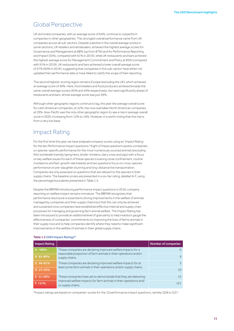## Global Perspective

UK domiciled companies, with an average score of 64%, continue to outperform companies in other geographies. The strongest overall performance came from UK companies across all sub-sectors. Despite a decline in the overall average scores in some sections, UK retailers and wholesalers, achieved the highest average scores for Governance and Management at 88% (up from 87%) and for Performance Reporting and Impact (55%, compared with 61% in 2019), while UK restaurants and bars achieved the highest average score for Management Commitment and Policy at 85% (compared with 91% in 2019). UK restaurants and bars achieved a lower overall average score of 57% (60% in 2019), suggesting that companies in this sub-sector have either not updated their performance data or have failed to clarify the scope of their reporting.

The second highest-scoring region remains Europe (excluding the UK), which achieved an average score of 40%. Here, food retailers and food producers achieved broadly the same overall average scores (42% and 44% respectively), but were significantly ahead of restaurants and bars, whose average score was just 26%.

Although other geographic regions continue to lag, this year the average overall score for Latin American companies, at 32%, has now overtaken North American companies, at 29%. Asia-Pacific was the only other geographic region to see a rise in average overall score in 2020, increasing from 12% to 16%. However, it is worth noting that this rise is from a very low base.

## Impact Rating

For the first time this year, we have analysed company scores using an 'Impact Rating' for the ten Performance Impact questions.4 Eight of these questions assess companies on species-specific performance for the most numerously sourced animals (excluding fish) worldwide (namely laying hens, broiler chickens, dairy cows and pigs) with a focus on key welfare issues for each of these species (covering close confinement, routine mutilations and fast-growth rate breeds) and two questions focus on cross-species performance on pre-slaughter stunning and long-distance live transportation. Companies are only assessed on questions that are relevant to the species in their supply chains. The baseline scores are presented in a six-tier rating, labelled A-F, using the percentage boundaries presented in Table 1.5.

Despite the BBFAW introducing performance impact questions in 2016, company reporting on welfare impact remains immature. The BBFAW recognises that performance disclosure is essential to driving improvements in the welfare of animals managed by companies and their supply chains but that this can only be achieved and sustained once companies have established effective internal and supply chain processes for managing and governing farm animal welfare. The Impact Rating has been introduced to provide an additional level of granularity to help investors gauge the effectiveness of companies' commitments to improving the lives of farms animals in their supply now and to help companies identify where they need to make significant improvements in the welfare of animals in their global supply chains.

| <b>Impact Rating</b> |                                                                                                                                                             | <b>Number of companies</b> |
|----------------------|-------------------------------------------------------------------------------------------------------------------------------------------------------------|----------------------------|
| $A > 80\%$           | These companies are declaring improved welfare impacts for a<br>reasonable proportion of farm animals in their operations and/or<br>supply chains.          | 0                          |
| B 62-80%             |                                                                                                                                                             | $\overline{A}$             |
| $C$ 44-61%           | These companies are declaring improved welfare impacts for at<br>least some farm animals in their operations and/or supply chains.                          | 3                          |
| D 27-43%             |                                                                                                                                                             | 10                         |
| E 11-26%             | These companies have yet to demonstrate that they are delivering<br>improved welfare impacts for farm animals in their operations and/<br>or supply chains. | 12                         |
| $F < 11\%$           |                                                                                                                                                             | 121                        |

#### Table 1.5 2020 Impact Ratings\*

\*Impact ratings are based on companies' scores for the 10 performance impact questions, namely Q28 to Q37.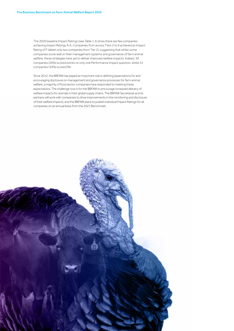The 2020 baseline Impact Ratings (see Table 1.5) show there are few companies achieving Impact Ratings A-E. Companies from across Tiers 2 to 6 achieved an Impact Rating of F (albeit only two companies from Tier 2), suggesting that whilst some companies score well on their management systems and governance of farm animal welfare, these strategies have yet to deliver improved welfare impacts. Indeed, 39 companies (26%) scored points on only one Performance Impact question, whilst 51 companies (34%) scored 0%.

Since 2012, the BBFAW has played an important role in defining expectations for and encouraging disclosure on management and governance processes for farm animal welfare, a majority of food sector companies have responded to meeting these expectations. The challenge now is for the BBFAW to encourage increased delivery of welfare impacts for animals in their global supply chains. The BBFAW Secretariat and its partners will work with companies to drive improvements in the monitoring and disclosure of their welfare impacts, and the BBFAW plans to publish individual Impact Ratings for all companies on an annual basis from the 2021 Benchmark.

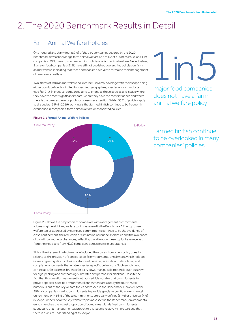## 2. The 2020 Benchmark Results in Detail

## Farm Animal Welfare Policies

One hundred and thirty-four (89%) of the 150 companies covered by the 2020 Benchmark now acknowledge farm animal welfare as a relevant business issue, and 119 companies (79%) have formal overarching policies on farm animal welfare. Nevertheless, 31 major food companies (21%) have still not published overarching policies on farm animal welfare, indicating that these companies have yet to formalise their management of farm animal welfare.

Two-thirds of farm animal welfare policies lack universal coverage with their scope being either poorly defined or limited to specified geographies, species and/or products (see Fig. 2.1). In practice, companies tend to prioritise those species and issues where they have the most significant impact, where they have the most influence and where there is the greatest level of public or consumer attention. Whilst 55% of policies apply to all species (54% in 2019), our view is that farmed fin fish continue to be frequently overlooked in companies' farm animal welfare or associated policies.

# major for in 5

major food companies does not have a farm animal welfare policy



#### Figure 2.1 Formal Animal Welfare Policies

Farmed fin fish continue to be overlooked in many companies' policies.

Figure 2.2 shows the proportion of companies with management commitments addressing the eight key welfare topics assessed in the Benchmark.<sup>5</sup> The top three welfare topics addressed by company commitments continue to be the avoidance of close confinement, the reduction or elimination of routine antibiotics and the avoidance of growth promoting substances, reflecting the attention these topics have received from the media and from NGO campaigns across multiple geographies.

This is the first year in which we have included the scores from a new policy question<sup>6</sup> relating to the provision of species-specific environmental enrichment, which reflects increasing recognition of the importance of providing animals with stimulating and complex environments that enable species-specific behaviours. Such enrichment can include, for example, brushes for dairy cows, manipulable materials such as straw for pigs, pecking and dustbathing substrates and perches for chickens. Despite the fact that this question was recently introduced, it is notable that commitments to provide species-specific environmental enrichment are already the fourth most numerous out of the key welfare topics addressed in the Benchmark. However, of the 55% of companies making commitments to provide species-specific environmental enrichment, only 58% of these commitments are clearly defined (54%) or universal (4%) in scope. Indeed, of all the key welfare topics assessed in the Benchmark, environmental enrichment has the lowest proportion of companies with defined commitments, suggesting that management approach to this issue is relatively immature and that there is a lack of understanding of this topic.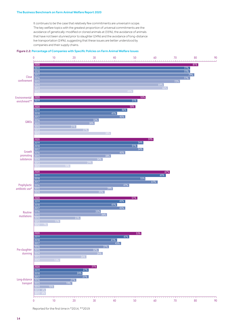#### The Business Benchmark on Farm Animal Welfare Report 2020

It continues to be the case that relatively few commitments are universal in scope. The key welfare topics with the greatest proportion of universal commitments are the avoidance of genetically-modified or cloned animals at (35%), the avoidance of animals that have not been stunned prior to slaughter (24%) and the avoidance of long-distance live transportation (24%), suggesting that these issues are better understood by companies and their supply chains.

#### Figure 2.2: Percentage of Companies with Specific Policies on Farm Animal Welfare Issues



Reported for the first time in \*2014, \*\*2019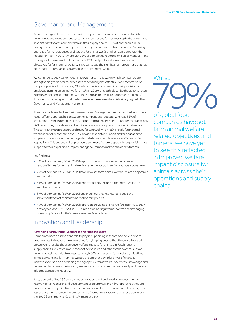## Governance and Management

We are seeing evidence of an increasing proportion of companies having established governance and management systems and processes for addressing the business risks associated with farm animal welfare in their supply chains, 51% of companies in 2020 having assigned senior management oversight of farm animal welfare and 79% having published formal objectives and targets for animal welfare. When compared with the first Benchmark in 2012, where just 22% of companies reported on senior management oversight of farm animal welfare and only 26% had published formal improvement objectives for farm animal welfare, it is clear to see the significant improvement that has been made in companies' governance of farm animal welfare.

We continue to see year-on-year improvements in the way in which companies are strengthening their internal processes for ensuring the effective implementation of company policies. For instance, 49% of companies now describe their provision of employee training on animal welfare (42% in 2019), and 55% describe the actions taken in the event of non-compliance with their farm animal welfare policies (42% in 2019). This is encouraging given that performance in these areas has historically lagged other Governance and Management criteria.

The scores achieved within the Governance and Management section of the Benchmark reveal differing approaches between the company sub-sectors. Whereas 66% of restaurants and bars report that they include farm animal welfare in supplier contracts, only 26% report they provide support and/or education to suppliers on farm animal welfare. This contrasts with producers and manufacturers, of which 48% include farm animal welfare in supplier contracts and 57% provide associated support and/or education to suppliers. The equivalent percentages for retailers and wholesalers are 54% and 46% respectively. This suggests that producers and manufacturers appear to be providing most support to their suppliers on implementing their farm animal welfare commitments.

#### Key findings:

- 63% of companies (59% in 2019) report some information on management responsibilities for farm animal welfare, at either or both senior and operational levels.
- 79% of companies (75% in 2019) have now set farm animal welfare-related objectives and targets
- 54% of companies (50% in 2019) report that they include farm animal welfare in supplier contracts.
- 67% of companies (63% in 2019) describe how they monitor and audit the implementation of their farm animal welfare policies.
- 49% of companies (43% in 2019) report on providing animal welfare training to their employees, and 55% (42% in 2019) report on having internal controls for managing non-compliance with their farm animal welfare policies.

### Innovation and Leadership

#### **Advancing Farm Animal Welfare in the Food Industry**

Companies have an important role to play in supporting research and development programmes to improve farm animal welfare, helping ensure that these are focused on delivering results that can drive welfare impacts for animals in food industry supply chains. Collective involvement of companies and other stakeholders, such as governmental and industry organisations, NGOs and academia, in industry initiatives aimed at improving farm animal welfare are another powerful driver of change. Initiatives focused on developing the right policy frameworks, incentives, knowledge and understanding across the industry are important to ensure that improved practices are adopted across the industry.

Forty percent of the 150 companies covered by the Benchmark now describe their involvement in research and development programmes and 48% report that they are involved in industry initiatives directed at improving farm animal welfare. These figures represent an increase on the proportions of companies reporting on these activities in the 2019 Benchmark (37% and 43% respectively).

# reglobal food **Whilst**

of global food companies have set farm animal welfarerelated objectives and targets, we have yet to see this reflected in improved welfare impact disclosure for animals across their operations and supply chains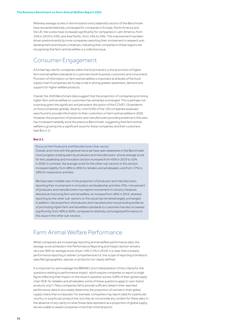Whereas average scores in the Innovation and Leadership section of the Benchmark have remained relatively unchanged for companies in Europe, North America and the UK, the scores have increased significantly for companies in Latin America, from 25% in 2019 to 43%, and Asia Pacific, from 14% to 24%. This improvement has been driven predominantly by more companies reporting their involvement in research and development and industry initiatives, indicating that companies in these regions are recognising that farm animal welfare is a collective issue.

## Consumer Engagement

A further key role for companies within the food industry is the promotion of higher farm animal welfare standards to customers (both business customers and consumers). Provision of information on farm animal welfare is important at all levels of the food supply chain if companies are to play a role in driving greater awareness, demand and support for higher welfare products.

Overall, the 2020 Benchmark data suggest that the proportion of companies promoting higher farm animal welfare to customers has remained unchanged. This is perhaps not surprising given the significant and persistent disruption of the COVID-19 pandemic on food companies globally. Seventy-nine (53%) of the 150 companies assessed were found to provide information to their customers on farm animal welfare in 2020. However, the proportion of producers and manufacturers providing evidence in this area has increased markedly since the previous Benchmark, suggesting that farm animal welfare is growing into a significant issue for these companies and their customers (see Box 2.1)

#### **Box 2.1**

#### Focus on the Producers and Manufacturers Sub-sector

Overall, and in line with the general trend we have seen elsewhere in the Benchmark, most progress is being seen by producers and manufacturers, whose average score for the Leadership and Innovation section increased from 45% in 2019 to 52% in 2020. In contrast, the average score for the other sub-sectors in this section increased slightly, from 48% to 49% for retailers and wholesalers, and from 17% to 18% for restaurants and bars.

We have seen notable rises in the proportion of producers and manufacturers reporting their involvement in innovation and leadership activities. Fifty-nine percent of producers and manufacturers now report involvement in industry initiatives directed at improving farm animal welfare, an increase from 46% in 2019, whereas reporting by the other sub-sectors on this issue has remained largely unchanged. In addition, the proportion of producers and manufacturers now providing evidence of promoting higher farm animal welfare standards to customers has also increased significantly, from 40% to 60%, compared to relatively unchanged performance on this issue in the other sub-sectors.

## Farm Animal Welfare Performance

Whilst companies are increasingly reporting animal welfare performance data, the average score achieved in the Performance Reporting and Impact section remains very low. With an average score of just 14% (11% in 2019), it is clear that company performance reporting is neither comprehensive (i.e. the scope of reporting is limited to specified geographies, species or products) nor clearly defined.

It is important to acknowledge the BBFAW's strict interpretation of the criteria for the questions relating to performance impact, which require companies to report a single figure reflecting their impact on the issue in question across 100% of their global supply chain (N.B. for retailers and wholesalers some of these questions apply to own-brand products only7). Many companies fail to provide sufficient detail in their reported performance data to accurately determine the proportion of animals in their global supply chains that is impacted. For example, companies may report data for a particular country or a particular product line, but they do not provide any context for these data. In the absence of any clarity on what these data represent as a proportion of global supply, we are unable to award companies more than minimal points.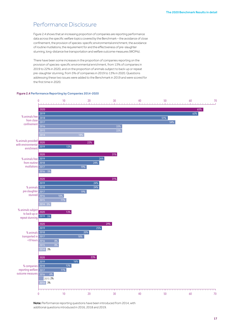## Performance Disclosure

Figure 2.4 Performance Reporting by Companies 2014-2020

Figure 2.4 shows that an increasing proportion of companies are reporting performance data across the specific welfare topics covered by the Benchmark – the avoidance of close confinement, the provision of species-specific environmental enrichment, the avoidance of routine mutilations, the requirement for and the effectiveness of pre-slaughter stunning, long-distance live transportation and welfare outcome measures (WOMs).

There have been some increases in the proportion of companies reporting on the provision of species-specific environmental enrichment, from 13% of companies in 2019 to 22% in 2020, and on the proportion of animals subject to back-up or repeat pre-slaughter stunning, from 5% of companies in 2019 to 13% in 2020. Questions addressing these two issues were added to the Benchmark in 2019 and were scored for the first time in 2020.

#### 0 10 20 30 40 50 60 70 0 10 20 30 40 50 60 70 % animals free from close confinement % animals provided with environmental enrichment % animals free from routine 2018 mutilations 2017 % animals pre-slaughter stunned % animals subject to back-up or repeat stunning % animals 2018 transported in 2017  $\leq$ 8 hours % companies 2018 reporting welfare 2017 outcome measures 2016 6% 2020 2019 2018 2016 2015 2020 2019 2018 2016 2014 2020 2019 2016 2015 2014 3% 2020 2019 2015 2% 2014 3% 2020 2019 2016 5% 2020 2019 2020 2019 65%  $63\%$  . The contract of the contract of the contract of the contract of the contract of the  $63\%$  $51\%$ 54% 33% 31%  $24\%$  24% 19% میں 2014 میں 2014 میں 2014 میں 2014 میں 2014 میں 2014 میں 2014 میں 2014 میں 2014 میں 2014 میں 20  $11%$ 29% 25% 20% 18% من المسافر المسافر المسافر المسافر المسافر المسافر المسافر المسافر المسافر المسافر المسافر المسافر المسافر 8% 23% 16% 13% 11% 22% 13% 13% 5% 31%  $26\%$  $21%$ 19%

2020 additional questions introduced in 2016, 2018 and 2019.Note: Performance reporting questions have been introduced from 2014, with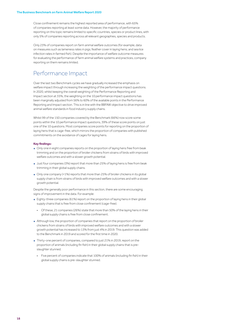Close confinement remains the highest reported area of performance, with 65% of companies reporting at least some data. However, the majority of performance reporting on this topic remains limited to specific countries, species or product lines, with only 5% of companies reporting across all relevant geographies, species and products.

Only 23% of companies report on farm animal welfare outcomes (for example, data on measures such as lameness rates in pigs; feather cover in laying hens; and sea lice infection rates in farmed fish). Despite the importance of welfare outcome measures for evaluating the performance of farm animal welfare systems and practices, company reporting on them remains limited.

## Performance Impact

Over the last two Benchmark cycles we have gradually increased the emphasis on welfare impact through increasing the weighting of the performance impact questions. In 2020, whilst keeping the overall weighting of the Performance Reporting and Impact section at 35%, the weighting on the 10 performance impact questions has been marginally adjusted from 56% to 60% of the available points in the Performance Reporting and Impact section. This is in line with the BBFAW objective to drive improved animal welfare standards in food industry supply chains.

Whilst 99 of the 150 companies covered by the Benchmark (66%) now score some points within the 10 performance impact questions, 39% of these score points on just one of the 10 questions. Most companies score points for reporting on the proportion of laying hens that is cage-free, which mirrors the proportion of companies with published commitments on the avoidance of cages for laying hens.

#### **Key findings:**

- Only one in eight companies reports on the proportion of laying hens free from beak trimming and on the proportion of broiler chickens from strains of birds with improved welfare outcomes and with a slower growth potential.
- Just four companies (3%) report that more than 25% of laying hens is free from beak trimming in their global supply chains.
- Only one company (<1%) reports that more than 25% of broiler chickens in its global supply chain is from strains of birds with improved welfare outcomes and with a slower growth potential.

Despite the generally poor performance in this section, there are some encouraging signs of improvement in the data. For example:

- Eighty-three companies (61%) report on the proportion of laying hens in their global supply chains that is free from close confinement (cage-free).
	- Of these, 21 companies (26%) state that more than 50% of the laying hens in their global supply chains is free from close confinement.
- Although low, the proportion of companies that report on the proportion of broiler chickens from strains of birds with improved welfare outcomes and with a slower growth potential has increased to 13% from just 4% in 2019. This question was added to the Benchmark in 2019 and scored for the first time in 2020.
- Thirty-one percent of companies, compared to just 21% in 2019, report on the proportion of animals (including fin fish) in their global supply chains that is preslaughter stunned.
	- Five percent of companies indicate that 100% of animals (including fin fish) in their global supply chains is pre-slaughter stunned.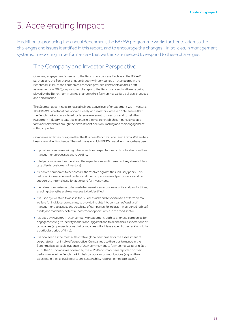## 3. Accelerating Impact

In addition to producing the annual Benchmark, the BBFAW programme works further to address the challenges and issues identified in this report, and to encourage the changes – in policies, in management systems, in reporting, in performance – that we think are needed to respond to these challenges.

## The Company and Investor Perspective

Company engagement is central to the Benchmark process. Each year, the BBFAW partners and the Secretariat engage directly with companies on their scores in the Benchmark (41% of the companies assessed provided comments on their draft assessments in 2020), on proposed changes to the Benchmark and on the role being played by the Benchmark in driving change in their farm animal welfare policies, practices and performance.

The Secretariat continues to have a high and active level of engagement with investors. The BBFAW Secretariat has worked closely with investors since 20119 to ensure that the Benchmark and associated tools remain relevant to investors, and to help the investment industry to catalyse change in the manner in which companies manage farm animal welfare through their investment decision-making and their engagement with companies.

Companies and investors agree that the Business Benchmark on Farm Animal Welfare has been a key driver for change. The main ways in which BBFAW has driven change have been:

- It provides companies with guidance and clear expectations on how to structure their management processes and reporting.
- It helps companies to understand the expectations and interests of key stakeholders (e.g. clients, customers, investors).
- It enables companies to benchmark themselves against their industry peers. This helps senior management understand the company's overall performance and can support the internal case for action and for investment.
- It enables comparisons to be made between internal business units and product lines, enabling strengths and weaknesses to be identified.
- It is used by investors to assess the business risks and opportunities of farm animal welfare for individual companies, to provide insights into companies' quality of management, to assess the suitability of companies for inclusion in screened (ethical) funds, and to identify potential investment opportunities in the food sector.
- It is used by investors in their company engagement, both to prioritise companies for engagement (e.g. to identify leaders and laggards) and to define their expectations of companies (e.g. expectations that companies will achieve a specific tier ranking within a particular period of time).
- It is now seen as the most authoritative global benchmark for the assessment of corporate farm animal welfare practice. Companies use their performance in the Benchmark as tangible evidence of their commitment to farm animal welfare; in fact, 26 of the 150 companies covered by the 2020 Benchmark have reported on their performance in the Benchmark in their corporate communications (e.g. on their websites, in their annual reports and sustainability reports, in media releases).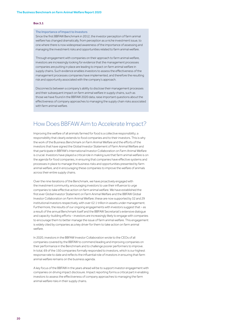#### **Box 3.1**

#### The Importance of Impact to Investors

Since the first BBFAW Benchmark in 2012, the investor perception of farm animal welfare has changed dramatically, from perception as a niche investment issue, to one where there is now widespread awareness of the importance of assessing and managing the investment risks and opportunities related to farm animal welfare.

Through engagement with companies on their approach to farm animal welfare, investors are increasingly looking for evidence that the management processes companies are putting in place are leading to impact on farm animal welfare in supply chains. Such evidence enables investors to assess the effectiveness of the management processes companies have implemented, and therefore the resulting risk and opportunity associated with the company's approach.

Disconnects between a company's ability to disclose their management processes and their subsequent impact on farm animal welfare in supply chains, such as those we have found in the BBFAW 2020 data, raise important questions about the effectiveness of company approaches to managing the supply chain risks associated with farm animal welfare.

## How Does BBFAW Aim to Accelerate Impact?

Improving the welfare of all animals farmed for food is a collective responsibility; a responsibility that clearly extends to food companies and to their investors. This is why the work of the Business Benchmark on Farm Animal Welfare and the efforts of the investors that have signed the Global Investor Statement of Farm Animal Welfare and that participate in BBFAW's International Investor Collaboration on Farm Animal Welfare is crucial. Investors have played a critical role in making sure that farm animal welfare is on the agenda for food companies, in ensuring that companies have effective systems and processes in place to manage the business risks and opportunities presented by farm animal welfare, and in encouraging these companies to improve the welfare of animals across their entire supply chains.

Over the nine iterations of the Benchmark, we have proactively engaged with the investment community, encouraging investors to use their influence to urge companies to take effective action on farm animal welfare. We have established the first ever Global Investor Statement on Farm Animal Welfare and the BBFAW Global Investor Collaboration on Farm Animal Welfare; these are now supported by 32 and 29 institutional investors respectively, with over £2.1 trillion in assets under management. Furthermore, the results of our ongoing engagements with investors suggest that – as a result of the annual Benchmark itself and the BBFAW Secretariat's extensive dialogue and capacity-building efforts – investors are increasingly likely to engage with companies to encourage them to better manage the issue of farm animal welfare. This engagement is widely cited by companies as a key driver for them to take action on farm animal welfare.

In 2020, investors in the BBFAW Investor Collaboration wrote to the CEOs of all companies covered by the BBFAW to commend leading and improving companies on their performance in the Benchmark and to challenge poorer performers to improve. In total, 69 of the 150 companies formally responded to investors, which is our highest response rate to date and reflects the influential role of investors in ensuring that farm animal welfare remains on the business agenda.

A key focus of the BBFAW in the years ahead will be to support investor engagement with companies on driving impact disclosure. Impact reporting forms a critical part in enabling investors to assess the effectiveness of company approaches to managing the farm animal welfare risks in their supply chains.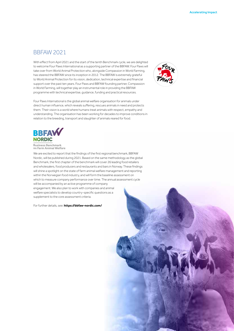### BBFAW 2021

With effect from April 2021 and the start of the tenth Benchmark cycle, we are delighted to welcome Four Paws International as a supporting partner of the BBFAW. Four Paws will take over from World Animal Protection who, alongside Compassion in World Farming, has steered the BBFAW since its inception in 2012. The BBFAW is extremely grateful to World Animal Protection for its vision, dedication, technical expertise and financial support over the past ten years. Four Paws and BBFAW founding partner, Compassion in World Farming, will together play an instrumental role in providing the BBFAW programme with technical expertise, guidance, funding and practical resources.



Four Paws International is the global animal welfare organisation for animals under direct human influence, which reveals suffering, rescues animals in need and protects them. Their vision is a world where humans treat animals with respect, empathy and understanding. The organisation has been working for decades to improve conditions in relation to the breeding, transport and slaughter of animals reared for food.



**Business Benchmark** on Farm Animal Welfare

We are excited to report that the findings of the first regional benchmark, BBFAW Nordic, will be published during 2021. Based on the same methodology as the global Benchmark, the first chapter of the benchmark will cover 26 leading food retailers and wholesalers, food producers and restaurants and bars in Norway. These findings will shine a spotlight on the state of farm animal welfare management and reporting within the Norwegian food industry, and will form the baseline assessment on which to measure company performance over time. The annual assessment cycle will be accompanied by an active programme of company engagement. We also plan to work with companies and animal welfare specialists to develop country-specific questions as a supplement to the core assessment criteria.

For further details, see: **https://bbfaw-nordic.com/**

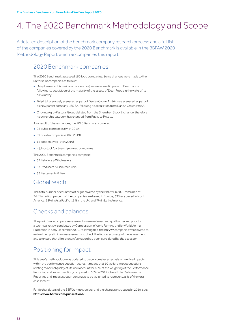## 4. The 2020 Benchmark Methodology and Scope

A detailed description of the benchmark company research process and a full list of the companies covered by the 2020 Benchmark is available in the BBFAW 2020 Methodology Report which accompanies this report.

## 2020 Benchmark companies

The 2020 Benchmark assessed 150 food companies. Some changes were made to the universe of companies as follows:

- Dairy Farmers of America (a cooperative) was assessed in place of Dean Foods following its acquisition of the majority of the assets of Dean Foods in the wake of its bankruptcy.
- Tulip Ltd, previously assessed as part of Danish Crown AmbA, was assessed as part of its new parent company, JBS SA, following its acquisition from Danish Crown AmbA.
- Chuying Agro-Pastoral Group delisted from the Shenzhen Stock Exchange, therefore its ownership category has changed from Public to Private
- As a result of these changes, the 2020 Benchmark covered:
- 92 public companies (94 in 2019)
- 39 private companies (38 in 2019)
- 15 cooperatives (14 in 2019)
- 4 joint stock/partnership owned companies.

The 2020 Benchmark companies comprise:

- 52 Retailers & Wholesalers
- 63 Producers & Manufacturers
- 35 Restaurants & Bars.

## Global reach

The total number of countries of origin covered by the BBFAW in 2020 remained at 24. Thirty-four percent of the companies are based in Europe, 33% are based in North America, 13% in Asia Pacific, 13% in the UK, and 7% in Latin America.

## Checks and balances

The preliminary company assessments were reviewed and quality checked prior to a technical review conducted by Compassion in World Farming and by World Animal Protection in early December 2020. Following this, the BBFAW companies were invited to review their preliminary assessments to check the factual accuracy of the assessment and to ensure that all relevant information had been considered by the assessor.

## Positioning for impact

This year's methodology was updated to place a greater emphasis on welfare impacts within the performance question scores. It means that 10 welfare impact questions relating to animal quality of life now account for 60% of the weighting of the Performance Reporting and Impact section, compared to 56% in 2019. Overall, the Performance Reporting and Impact section continues to be weighted to represent 35% of the total assessment.

For further details of the BBFAW Methodology and the changes introduced in 2020, see: http://www.bbfaw.com/publications/.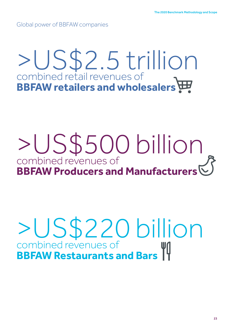Global power of BBFAW companies

# >US\$2.5 trillion combined retail revenues of **BBFAW retailers and wholesalers**

## >US\$500 billion combined revenues of **BBFAW Producers and Manufacturers**

# >US\$220 billion combined revenues of **BBFAW Restaurants and Bars**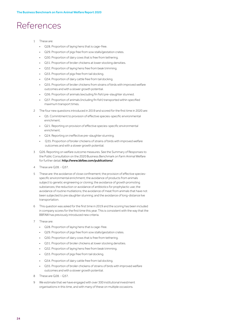## References

- 1 These are:
	- Q28. Proportion of laying hens that is cage-free.
	- Q29. Proportion of pigs free from sow stalls/gestation crates.
	- Q30. Proportion of dairy cows that is free from tethering.
	- Q31. Proportion of broiler chickens at lower stocking densities.
	- Q32. Proportion of laying hens free from beak trimming.
	- Q33. Proportion of pigs free from tail docking.
	- Q34. Proportion of dairy cattle free from tail docking.
	- Q35. Proportion of broiler chickens from strains of birds with improved welfare outcomes and with a slower growth potential.
	- Q36. Proportion of animals (excluding fin fish) pre-slaughter stunned.
	- Q37. Proportion of animals (including fin fish) transported within specified maximum transport times.
- 2 The four new questions introduced in 2019 and scored for the first time in 2020 are:
	- Q5. Commitment to provision of effective species-specific environmental enrichment.
	- Q21. Reporting on provision of effective species-specific environmental enrichment.
	- Q24. Reporting on ineffective pre-slaughter stunning
	- Q35. Proportion of broiler chickens of strains of birds with improved welfare outcomes and with a slower growth potential.
- 3 Q26. Reporting on welfare outcome measures. See the Summary of Responses to the Public Consultation on the 2020 Business Benchmark on Farm Animal Welfare for further detail. http://www.bbfaw.com/publications/.
- 4 These are Q28. Q37.
- 5 These are: the avoidance of close confinement; the provision of effective speciesspecific environmental enrichment; the avoidance of products from animals subject to genetic engineering or cloning; the avoidance of growth promoting substances; the reduction or avoidance of antibiotics for prophylactic use; the avoidance of routine mutilations; the avoidance of meat from animals that have not been subjected to pre slaughter stunning; and the avoidance of long-distance live transportation.
- 6 This question was asked for the first time in 2019 and the scoring has been included in company scores for the first time this year. This is consistent with the way that the BBFAW has previously introduced new criteria.
- 7 These are:
	- Q28. Proportion of laying hens that is cage-free.
	- Q29. Proportion of pigs free from sow stalls/gestation crates.
	- Q30. Proportion of dairy cows that is free from tethering
	- Q31. Proportion of broiler chickens at lower stocking densities.
	- Q32. Proportion of laying hens free from beak trimming.
	- Q33. Proportion of pigs free from tail docking.
	- Q34. Proportion of dairy cattle free from tail docking.
	- Q35. Proportion of broiler chickens of strains of birds with improved welfare outcomes and with a slower growth potential.
- 8 These are Q28. Q37.
- 9 We estimate that we have engaged with over 300 institutional investment organisations in this time, and with many of these on multiple occasions.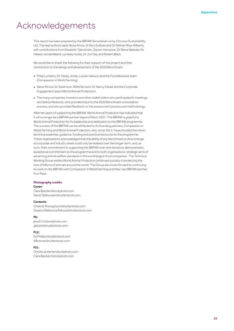## Acknowledgements

This report has been prepared by the BBFAW Secretariat run by Chronos Sustainability Ltd. The lead authors were Nicky Amos, Dr Rory Sullivan and Dr Nathan Rhys Williams, with contributions from Elisabeth Tjärnström, Darren Vanstone, Dr Steve Webster, Dr Heleen van de Weerd, Lyndsey Hurley, Dr Jon Day, and Robert Black.

We would like to thank the following for their support of this project and their contribution to the design and development of the 2020 Benchmark:

- Philip Lymbery, Dr Tracey Jones, Louise Valducci and the Food Business team (Compassion in World Farming).
- Steve McIvor, Dr Sarah Ison, Rafel Servent, Dr Nancy Clarke and the Corporate Engagement team (World Animal Protection).
- The many companies, investors and other stakeholders who participated in meetings and teleconferences, who provided input to the 2020 Benchmark consultation process, and who provided feedback on the assessment process and methodology.

After ten years of supporting the BBFAW, World Animal Protection has indicated that it will no longer be a BBFAW partner beyond March 2021. The BBFAW is grateful to World Animal Protection for its leadership and dedication to the BBFAW programme. The success of the BBFAW can be attributed to its founding partners, Compassion in World Farming and World Animal Protection, who, since 2011, have provided the vision, technical expertise, guidance, funding and practical resources to the programme. These organisations acknowledged that the ability of any benchmark to drive change at corporate and industry levels could only be realised over the longer-term, and, as such, their commitment to supporting the BBFAW over nine iterations demonstrates exceptional commitment to the programme and to both organisations' strategic aims of advancing animal welfare standards in the world largest food companies. The Technical Working Group wishes World Animal Protection continued success in protecting the lives of billions of animals around the world. The Group also looks forward to continuing its work on the BBFAW with Compassion in World Farming and their new BBFAW partner, Four Paws.

#### **Photography credits**

#### Cover:

Clara Bastian/istockphoto.com David Tadevosian/shutterstock.com

#### Contents

Chokniti Khongchum/shutterstock.com Deyana Stefanova Robova/shutterstock.com

#### P6:

jess311/istockphoto.com galsand/shutterstock.com

#### P12:

Ed Phillips/shutterstock.com ABrowne/shutterstock.com

#### P21:

ChristiLaLiberte/istockphoto.com Clara Bastian/istockphoto.com